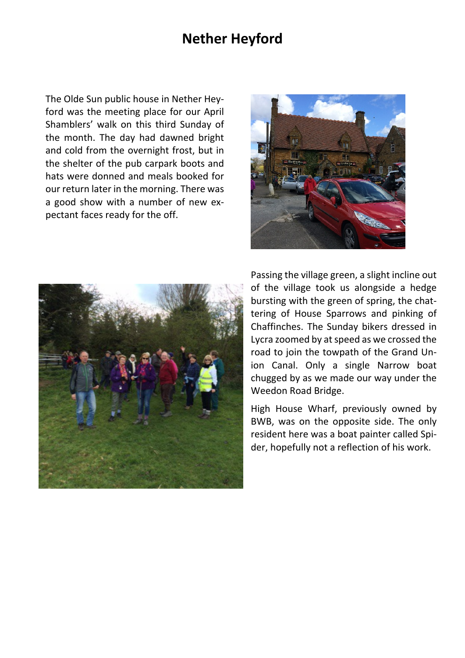## **Nether Heyford**

The Olde Sun public house in Nether Heyford was the meeting place for our April Shamblers' walk on this third Sunday of the month. The day had dawned bright and cold from the overnight frost, but in the shelter of the pub carpark boots and hats were donned and meals booked for our return later in the morning. There was a good show with a number of new expectant faces ready for the off.





Passing the village green, a slight incline out of the village took us alongside a hedge bursting with the green of spring, the chattering of House Sparrows and pinking of Chaffinches. The Sunday bikers dressed in Lycra zoomed by at speed as we crossed the road to join the towpath of the Grand Union Canal. Only a single Narrow boat chugged by as we made our way under the Weedon Road Bridge.

High House Wharf, previously owned by BWB, was on the opposite side. The only resident here was a boat painter called Spider, hopefully not a reflection of his work.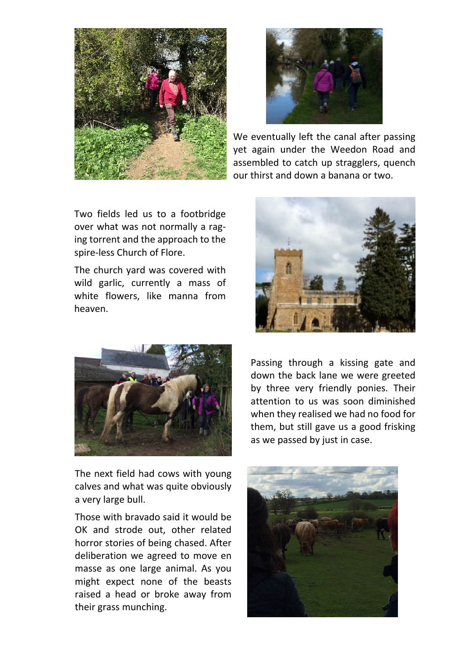



We eventually left the canal after passing yet again under the Weedon Road and assembled to catch up stragglers, quench our thirst and down a banana or two.

Two fields led us to a footbridge over what was not normally a raging torrent and the approach to the spire-less Church of Flore.

The church yard was covered with wild garlic, currently a mass of white flowers, like manna from heaven.



The next field had cows with young calves and what was quite obviously a very large bull.

Those with bravado said it would be OK and strode out, other related horror stories of being chased. After deliberation we agreed to move en masse as one large animal. As you might expect none of the beasts raised a head or broke away from their grass munching.



Passing through a kissing gate and down the back lane we were greeted by three very friendly ponies. Their attention to us was soon diminished when they realised we had no food for them, but still gave us a good frisking as we passed by just in case.